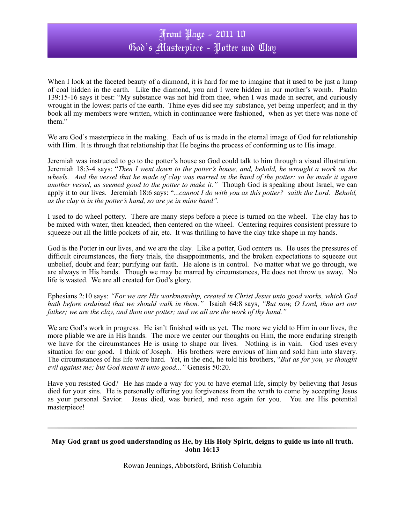## Front Page - 2011 10 God's Masterpiece - Potter and Clay

When I look at the faceted beauty of a diamond, it is hard for me to imagine that it used to be just a lump of coal hidden in the earth. Like the diamond, you and I were hidden in our mother's womb. Psalm 139:15-16 says it best: "My substance was not hid from thee, when I was made in secret, and curiously wrought in the lowest parts of the earth. Thine eyes did see my substance, yet being unperfect; and in thy book all my members were written, which in continuance were fashioned, when as yet there was none of them."

We are God's masterpiece in the making. Each of us is made in the eternal image of God for relationship with Him. It is through that relationship that He begins the process of conforming us to His image.

Jeremiah was instructed to go to the potter's house so God could talk to him through a visual illustration. Jeremiah 18:3-4 says: "*Then I went down to the potter's house, and, behold, he wrought a work on the wheels. And the vessel that he made of clay was marred in the hand of the potter: so he made it again another vessel, as seemed good to the potter to make it."* Though God is speaking about Israel, we can apply it to our lives. Jeremiah 18:6 says: "*...cannot I do with you as this potter? saith the Lord. Behold, as the clay is in the potter's hand, so are ye in mine hand".*

I used to do wheel pottery. There are many steps before a piece is turned on the wheel. The clay has to be mixed with water, then kneaded, then centered on the wheel. Centering requires consistent pressure to squeeze out all the little pockets of air, etc. It was thrilling to have the clay take shape in my hands.

God is the Potter in our lives, and we are the clay. Like a potter, God centers us. He uses the pressures of difficult circumstances, the fiery trials, the disappointments, and the broken expectations to squeeze out unbelief, doubt and fear; purifying our faith. He alone is in control. No matter what we go through, we are always in His hands. Though we may be marred by circumstances, He does not throw us away. No life is wasted. We are all created for God's glory.

Ephesians 2:10 says: *"For we are His workmanship, created in Christ Jesus unto good works, which God hath before ordained that we should walk in them."*Isaiah 64:8 says, *"But now, O Lord, thou art our father; we are the clay, and thou our potter; and we all are the work of thy hand."*

We are God's work in progress. He isn't finished with us yet. The more we yield to Him in our lives, the more pliable we are in His hands. The more we center our thoughts on Him, the more enduring strength we have for the circumstances He is using to shape our lives. Nothing is in vain. God uses every situation for our good. I think of Joseph. His brothers were envious of him and sold him into slavery. The circumstances of his life were hard. Yet, in the end, he told his brothers, "*But as for you, ye thought evil against me; but God meant it unto good..."* Genesis 50:20.

Have you resisted God? He has made a way for you to have eternal life, simply by believing that Jesus died for your sins. He is personally offering you forgiveness from the wrath to come by accepting Jesus as your personal Savior. Jesus died, was buried, and rose again for you. You are His potential masterpiece!

## **May God grant us good understanding as He, by His Holy Spirit, deigns to guide us into all truth. John 16:13**

Rowan Jennings, Abbotsford, British Columbia